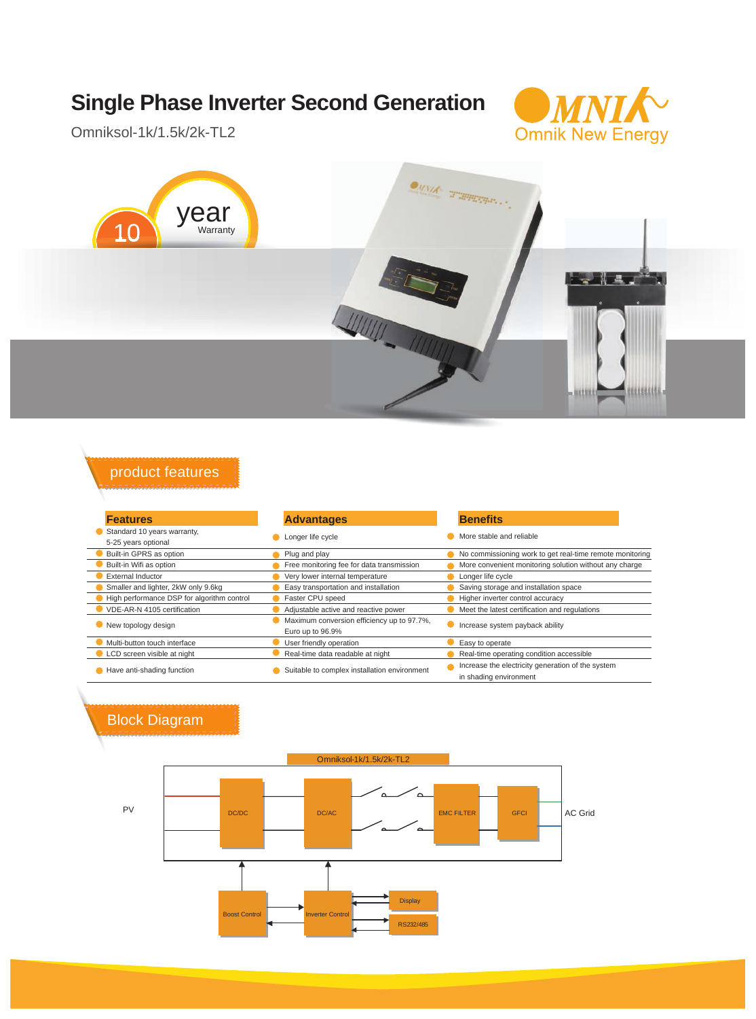## **Single Phase Inverter Second Generation**



Omniksol-1k/1.5k/2k-TL2



## product features

| <b>Features</b>                            | <b>Advantages</b>                            | <b>Benefits</b>                                          |  |
|--------------------------------------------|----------------------------------------------|----------------------------------------------------------|--|
| Standard 10 years warranty,                | Longer life cycle                            | More stable and reliable                                 |  |
| 5-25 years optional                        |                                              |                                                          |  |
| Built-in GPRS as option                    | Plug and play                                | No commissioning work to get real-time remote monitoring |  |
| Built-in Wifi as option                    | Free monitoring fee for data transmission    | More convenient monitoring solution without any charge   |  |
| <b>External Inductor</b>                   | Very lower internal temperature              | Longer life cycle                                        |  |
| Smaller and lighter, 2kW only 9.6kg        | Easy transportation and installation         | Saving storage and installation space                    |  |
| High performance DSP for algorithm control | Faster CPU speed                             | Higher inverter control accuracy                         |  |
| VDE-AR-N 4105 certification                | Adjustable active and reactive power         | Meet the latest certification and regulations            |  |
| New topology design                        | Maximum conversion efficiency up to 97.7%,   | Increase system payback ability                          |  |
|                                            | Euro up to 96.9%                             |                                                          |  |
| Multi-button touch interface               | User friendly operation                      | Easy to operate                                          |  |
| LCD screen visible at night                | Real-time data readable at night             | Real-time operating condition accessible                 |  |
| Have anti-shading function                 | Suitable to complex installation environment | Increase the electricity generation of the system        |  |
|                                            |                                              | in shading environment                                   |  |

## Block Diagram